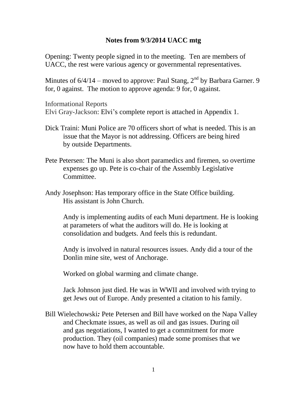## **Notes from 9/3/2014 UACC mtg**

Opening: Twenty people signed in to the meeting. Ten are members of UACC, the rest were various agency or governmental representatives.

Minutes of  $6/4/14$  – moved to approve: Paul Stang,  $2<sup>nd</sup>$  by Barbara Garner. 9 for, 0 against. The motion to approve agenda: 9 for, 0 against.

Informational Reports Elvi Gray-Jackson: Elvi's complete report is attached in Appendix 1.

- Dick Traini: Muni Police are 70 officers short of what is needed. This is an issue that the Mayor is not addressing. Officers are being hired by outside Departments.
- Pete Petersen: The Muni is also short paramedics and firemen, so overtime expenses go up. Pete is co-chair of the Assembly Legislative Committee.
- Andy Josephson: Has temporary office in the State Office building. His assistant is John Church.

Andy is implementing audits of each Muni department. He is looking at parameters of what the auditors will do. He is looking at consolidation and budgets. And feels this is redundant.

Andy is involved in natural resources issues. Andy did a tour of the Donlin mine site, west of Anchorage.

Worked on global warming and climate change.

Jack Johnson just died. He was in WWII and involved with trying to get Jews out of Europe. Andy presented a citation to his family.

Bill Wielechowski*:* Pete Petersen and Bill have worked on the Napa Valley and Checkmate issues, as well as oil and gas issues. During oil and gas negotiations, I wanted to get a commitment for more production. They (oil companies) made some promises that we now have to hold them accountable.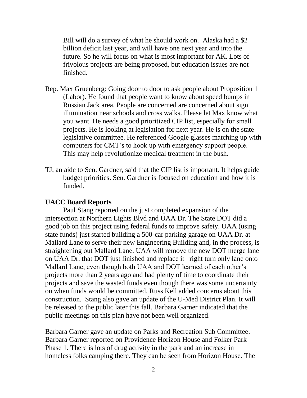Bill will do a survey of what he should work on. Alaska had a \$2 billion deficit last year, and will have one next year and into the future. So he will focus on what is most important for AK. Lots of frivolous projects are being proposed, but education issues are not finished.

- Rep. Max Gruenberg: Going door to door to ask people about Proposition 1 (Labor). He found that people want to know about speed bumps in Russian Jack area. People are concerned are concerned about sign illumination near schools and cross walks. Please let Max know what you want. He needs a good prioritized CIP list, especially for small projects. He is looking at legislation for next year. He is on the state legislative committee. He referenced Google glasses matching up with computers for CMT's to hook up with emergency support people. This may help revolutionize medical treatment in the bush.
- TJ, an aide to Sen. Gardner, said that the CIP list is important. It helps guide budget priorities. Sen. Gardner is focused on education and how it is funded.

## **UACC Board Reports**

Paul Stang reported on the just completed expansion of the intersection at Northern Lights Blvd and UAA Dr. The State DOT did a good job on this project using federal funds to improve safety. UAA (using state funds) just started building a 500-car parking garage on UAA Dr. at Mallard Lane to serve their new Engineering Building and, in the process, is straightening out Mallard Lane. UAA will remove the new DOT merge lane on UAA Dr. that DOT just finished and replace it right turn only lane onto Mallard Lane, even though both UAA and DOT learned of each other's projects more than 2 years ago and had plenty of time to coordinate their projects and save the wasted funds even though there was some uncertainty on when funds would be committed. Russ Kell added concerns about this construction. Stang also gave an update of the U-Med District Plan. It will be released to the public later this fall. Barbara Garner indicated that the public meetings on this plan have not been well organized.

Barbara Garner gave an update on Parks and Recreation Sub Committee. Barbara Garner reported on Providence Horizon House and Folker Park Phase 1. There is lots of drug activity in the park and an increase in homeless folks camping there. They can be seen from Horizon House. The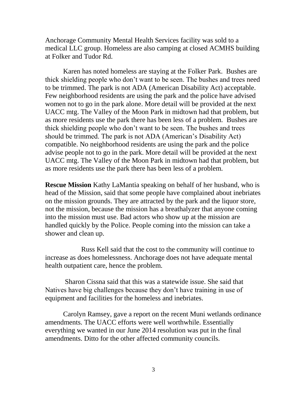Anchorage Community Mental Health Services facility was sold to a medical LLC group. Homeless are also camping at closed ACMHS building at Folker and Tudor Rd.

Karen has noted homeless are staying at the Folker Park. Bushes are thick shielding people who don't want to be seen. The bushes and trees need to be trimmed. The park is not ADA (American Disability Act) acceptable. Few neighborhood residents are using the park and the police have advised women not to go in the park alone. More detail will be provided at the next UACC mtg. The Valley of the Moon Park in midtown had that problem, but as more residents use the park there has been less of a problem. Bushes are thick shielding people who don't want to be seen. The bushes and trees should be trimmed. The park is not ADA (American's Disability Act) compatible. No neighborhood residents are using the park and the police advise people not to go in the park. More detail will be provided at the next UACC mtg. The Valley of the Moon Park in midtown had that problem, but as more residents use the park there has been less of a problem.

**Rescue Mission** Kathy LaMantia speaking on behalf of her husband, who is head of the Mission, said that some people have complained about inebriates on the mission grounds. They are attracted by the park and the liquor store, not the mission, because the mission has a breathalyzer that anyone coming into the mission must use. Bad actors who show up at the mission are handled quickly by the Police. People coming into the mission can take a shower and clean up.

Russ Kell said that the cost to the community will continue to increase as does homelessness. Anchorage does not have adequate mental health outpatient care, hence the problem.

Sharon Cissna said that this was a statewide issue. She said that Natives have big challenges because they don't have training in use of equipment and facilities for the homeless and inebriates.

Carolyn Ramsey, gave a report on the recent Muni wetlands ordinance amendments. The UACC efforts were well worthwhile. Essentially everything we wanted in our June 2014 resolution was put in the final amendments. Ditto for the other affected community councils.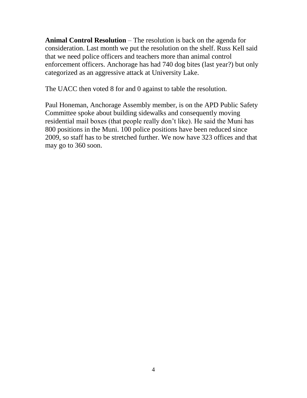**Animal Control Resolution** – The resolution is back on the agenda for consideration. Last month we put the resolution on the shelf. Russ Kell said that we need police officers and teachers more than animal control enforcement officers. Anchorage has had 740 dog bites (last year?) but only categorized as an aggressive attack at University Lake.

The UACC then voted 8 for and 0 against to table the resolution.

Paul Honeman, Anchorage Assembly member, is on the APD Public Safety Committee spoke about building sidewalks and consequently moving residential mail boxes (that people really don't like). He said the Muni has 800 positions in the Muni. 100 police positions have been reduced since 2009, so staff has to be stretched further. We now have 323 offices and that may go to 360 soon.